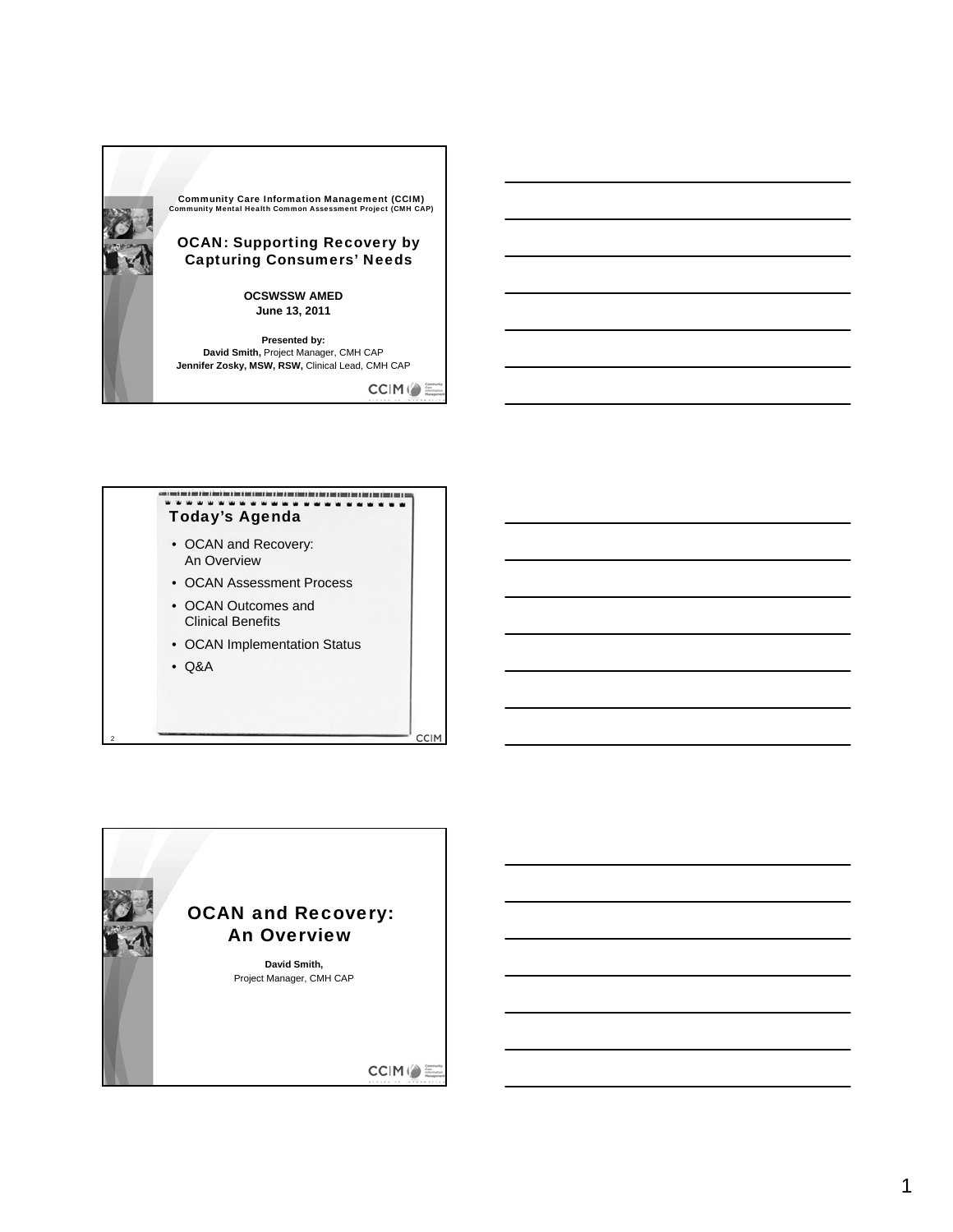

CCIM()

**CCIM** 



- OCAN and Recovery: An Overview
- OCAN Assessment Process
- OCAN Outcomes and Clinical Benefits
- OCAN Implementation Status
- Q&A

2

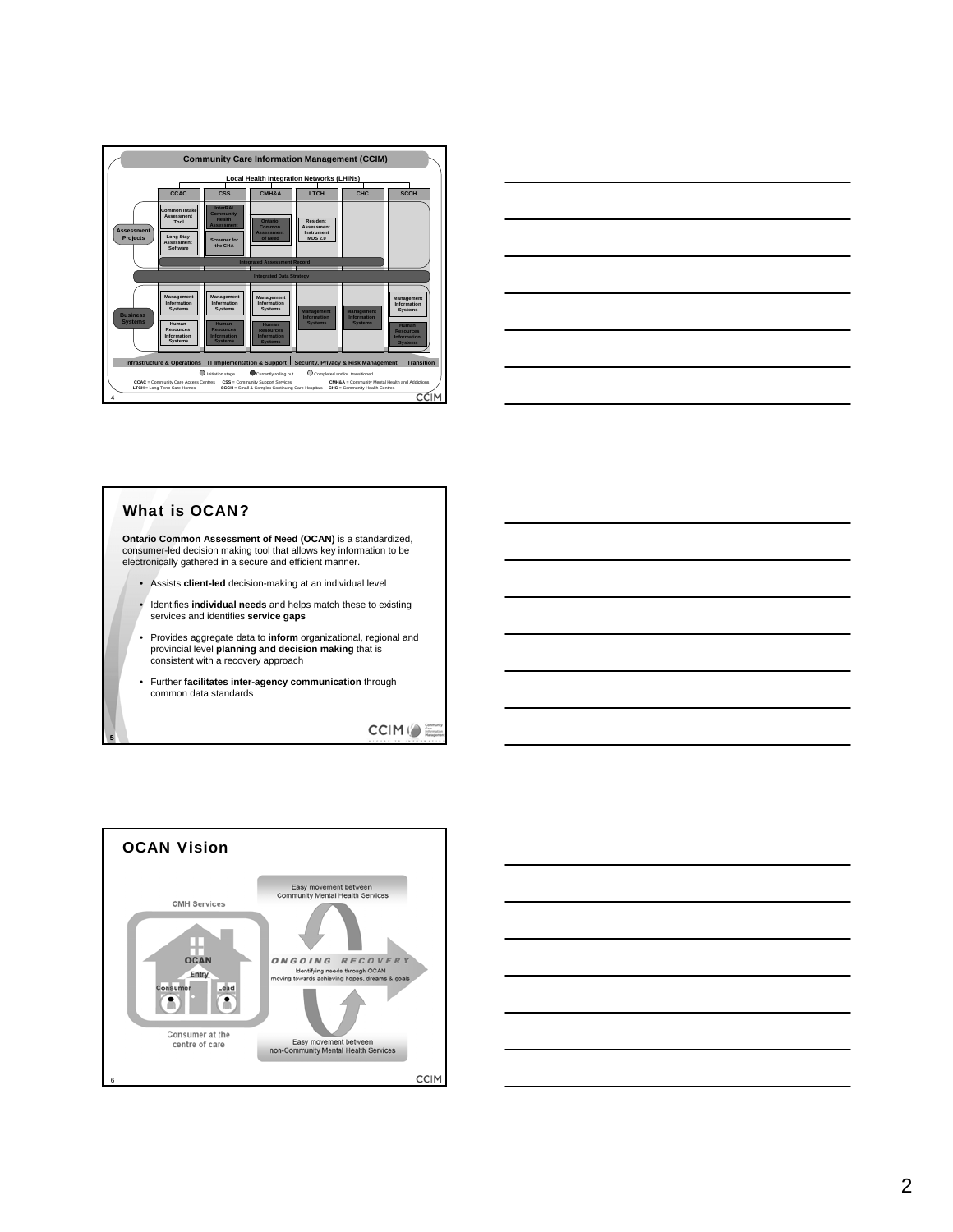



#### What is OCAN?

5

**Ontario Common Assessment of Need (OCAN)** is a standardized, consumer-led decision making tool that allows key information to be electronically gathered in a secure and efficient manner.

- Assists **client-led** decision-making at an individual level
- Identifies **individual needs** and helps match these to existing services and identifies **service gaps**
- Provides aggregate data to **inform** organizational, regional and provincial level **planning and decision making** that is consistent with a recovery approach
- Further **facilitates inter-agency communication** through common data standards

CCIM ( E



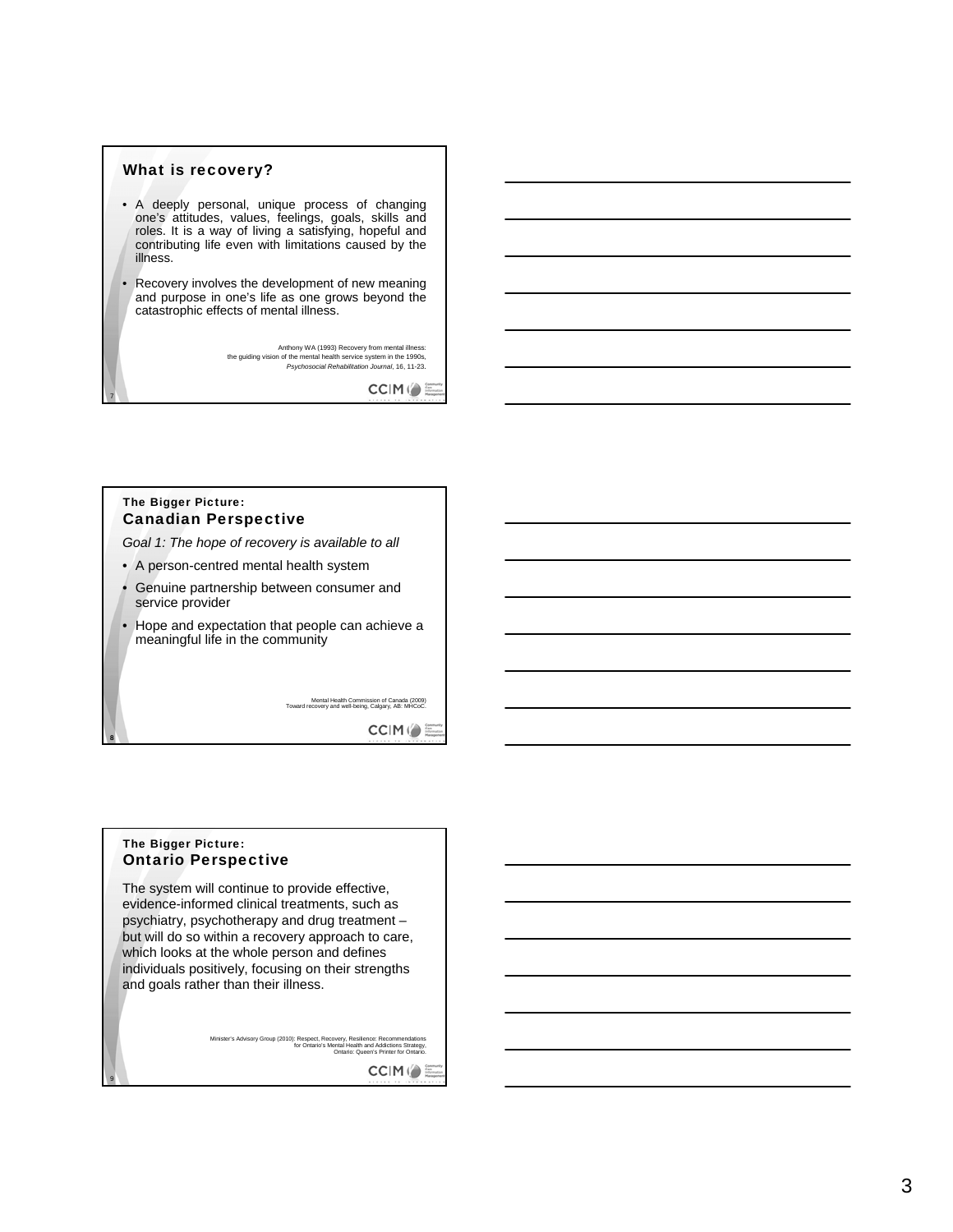#### What is recovery?

- A deeply personal, unique process of changing one's attitudes, values, feelings, goals, skills and roles. It is a way of living a satisfying, hopeful and contributing life even with limitations caused by the illness.
- Recovery involves the development of new meaning and purpose in one's life as one grows beyond the catastrophic effects of mental illness.

Anthony WA (1993) Recovery from mental illness: the guiding vision of the mental health service system in the 1990s, *Psychosocial Rehabilitation Journal*, 16, 11-23.

 $C C|M \left(\right) \equiv$ 

#### The Bigger Picture: Canadian Perspective

7

8

9

*Goal 1: The hope of recovery is available to all*

- A person-centred mental health system
- Genuine partnership between consumer and service provider
- Hope and expectation that people can achieve a meaningful life in the community

Mental Health Commission of Canada (2009) Toward recovery and well-being, Calgary, AB: MHCoC.

CCIM ( E

#### The Bigger Picture: Ontario Perspective

The system will continue to provide effective, evidence-informed clinical treatments, such as psychiatry, psychotherapy and drug treatment – but will do so within a recovery approach to care, which looks at the whole person and defines individuals positively, focusing on their strengths and goals rather than their illness.

Minister's Advisory Group (2010): Respect, Recovery, Resilience: Recommendations<br>for Ontario's Mental Health and Addictions Strategy,<br>Ontario: Queen's Printer for Ontario.

 $C C|M \left(\right) \equiv$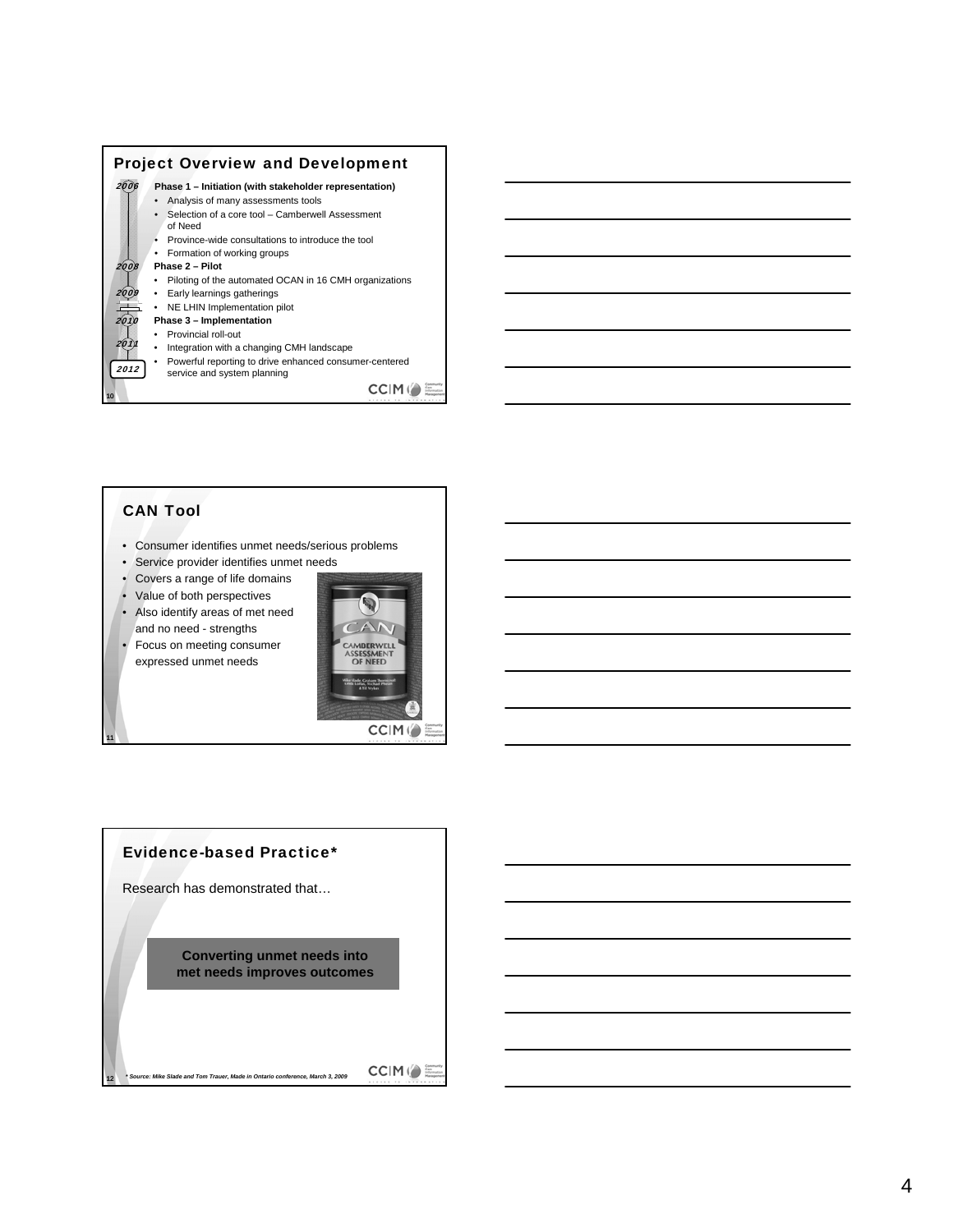

### CAN Tool

11

12

- Consumer identifies unmet needs/serious problems
- Service provider identifies unmet needs
- Covers a range of life domains
- Value of both perspectives • Also identify areas of met need

and no need - strengths

• Focus on meeting consumer expressed unmet needs



#### Evidence-based Practice\*

Research has demonstrated that…

*\* Source: Mike Slade and Tom Trauer, Made in Ontario conference, March 3, 2009*

**Converting unmet needs into met needs improves outcomes**

 $C C|M \left(\right) \equiv$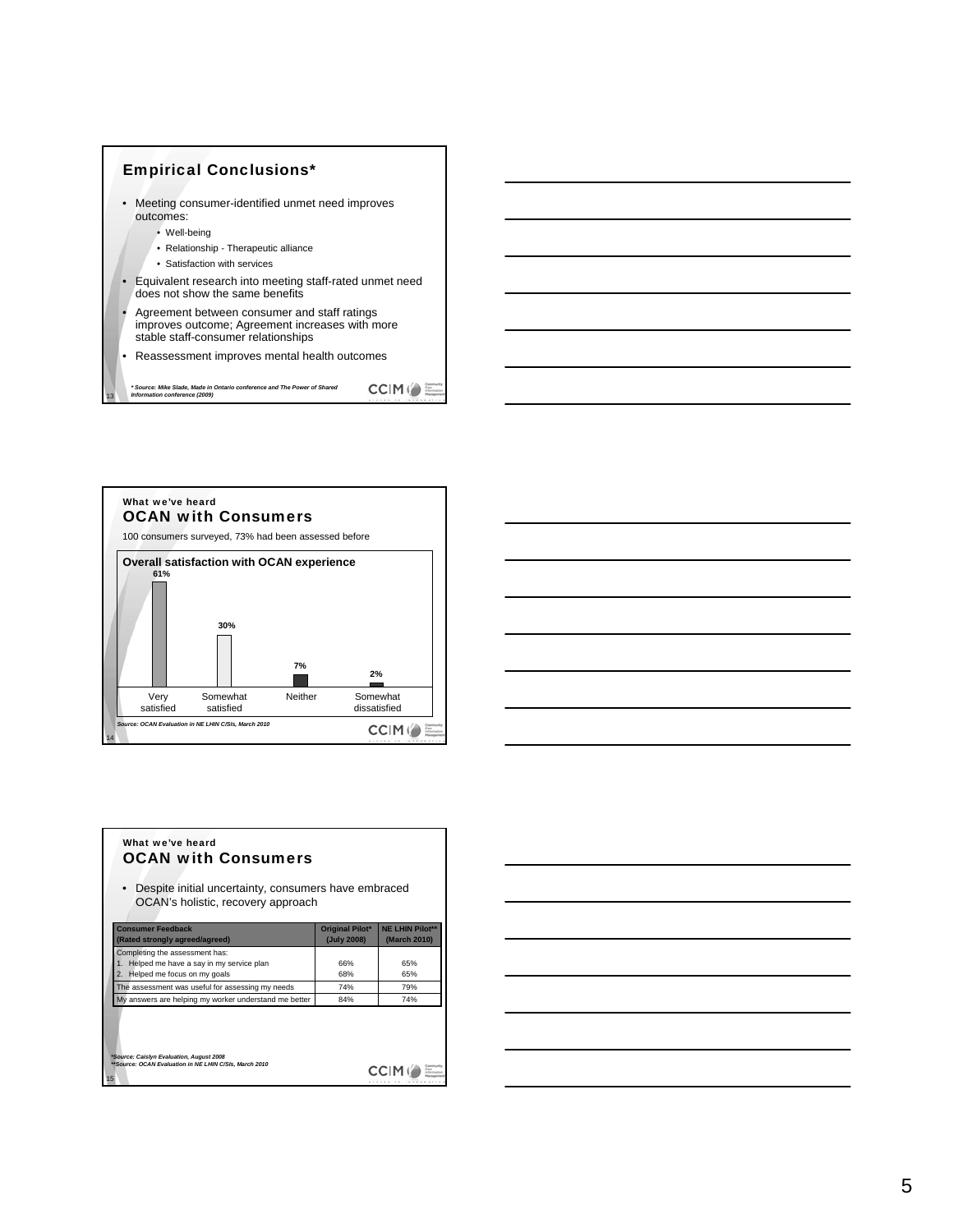



| the control of the control of the control of the control of the control of the control of the control of the control of the control of the control of the control of the control of the control of the control of the control |  |  |
|-------------------------------------------------------------------------------------------------------------------------------------------------------------------------------------------------------------------------------|--|--|

| What we've heard<br><b>OCAN with Consumers</b><br>Despite initial uncertainty, consumers have embraced<br>OCAN's holistic, recovery approach |                                |                                        |
|----------------------------------------------------------------------------------------------------------------------------------------------|--------------------------------|----------------------------------------|
| <b>Consumer Feedback</b><br>(Rated strongly agreed/agreed)                                                                                   | Original Pilot*<br>(July 2008) | <b>NE LHIN Pilot**</b><br>(March 2010) |
| Completing the assessment has:                                                                                                               |                                |                                        |
| 1. Helped me have a say in my service plan                                                                                                   | 66%                            | 65%                                    |
| 2. Helped me focus on my goals                                                                                                               | 68%                            | 65%                                    |
| The assessment was useful for assessing my needs                                                                                             | 74%                            | 79%                                    |
| My answers are helping my worker understand me better                                                                                        | 84%                            | 74%                                    |
| *Source: Caislyn Evaluation, August 2008<br>**Source: OCAN Evaluation in NE LHIN C/SIs, March 2010                                           |                                |                                        |

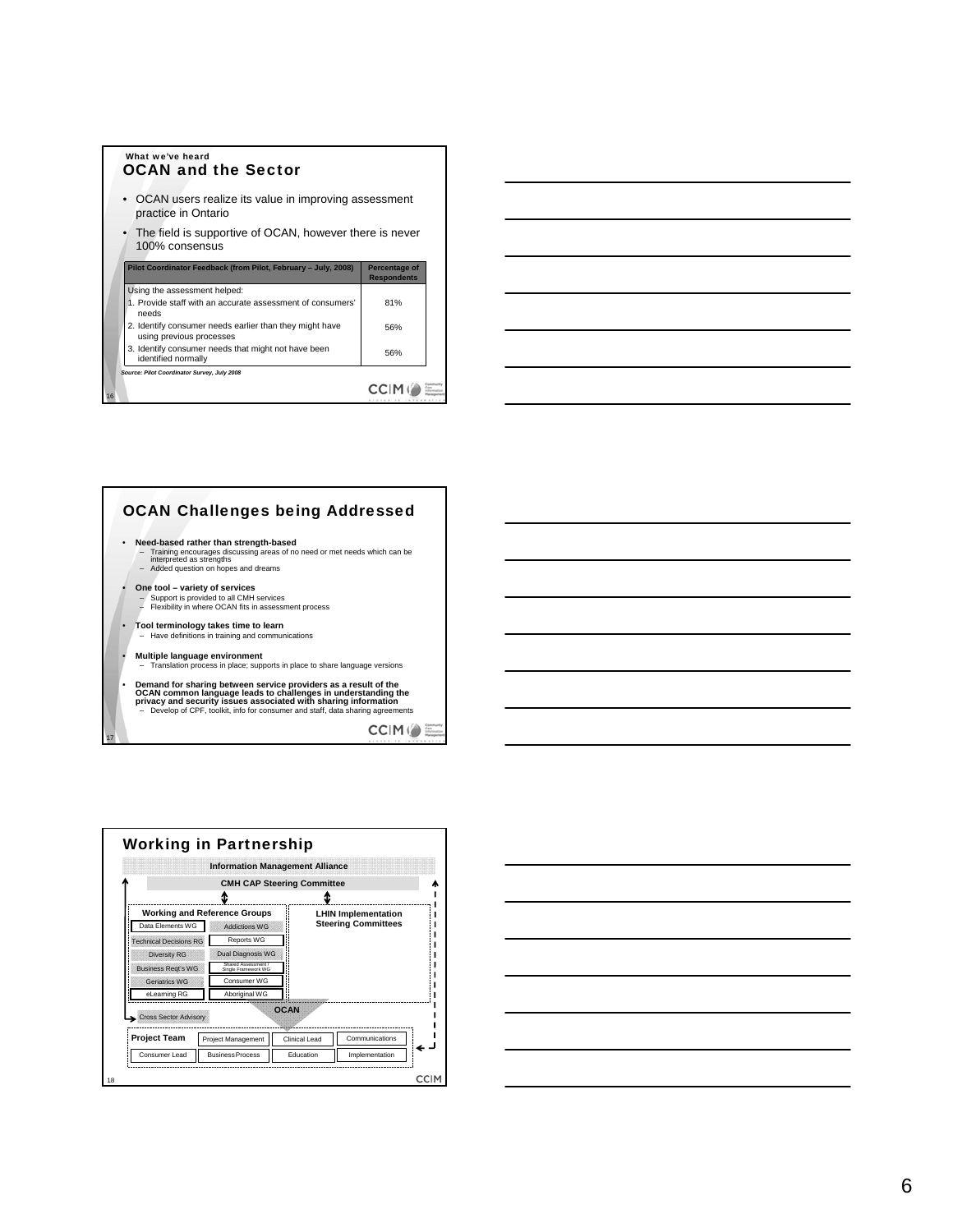| what we ve neard<br><b>OCAN and the Sector</b>                                      |                                     |  |  |  |  |  |  |  |
|-------------------------------------------------------------------------------------|-------------------------------------|--|--|--|--|--|--|--|
| OCAN users realize its value in improving assessment<br>practice in Ontario         |                                     |  |  |  |  |  |  |  |
| • The field is supportive of OCAN, however there is never<br>100% consensus         |                                     |  |  |  |  |  |  |  |
| Pilot Coordinator Feedback (from Pilot, February - July, 2008)                      | Percentage of<br><b>Respondents</b> |  |  |  |  |  |  |  |
| Using the assessment helped:                                                        |                                     |  |  |  |  |  |  |  |
| 1. Provide staff with an accurate assessment of consumers'<br>needs                 | 81%                                 |  |  |  |  |  |  |  |
| 2. Identify consumer needs earlier than they might have<br>using previous processes | 56%                                 |  |  |  |  |  |  |  |
| 3. Identify consumer needs that might not have been<br>identified normally          | 56%                                 |  |  |  |  |  |  |  |
| Source: Pilot Coordinator Survey, July 2008                                         |                                     |  |  |  |  |  |  |  |

16

17

What we've heard

### $CCHM$  ( $\bullet \equiv$





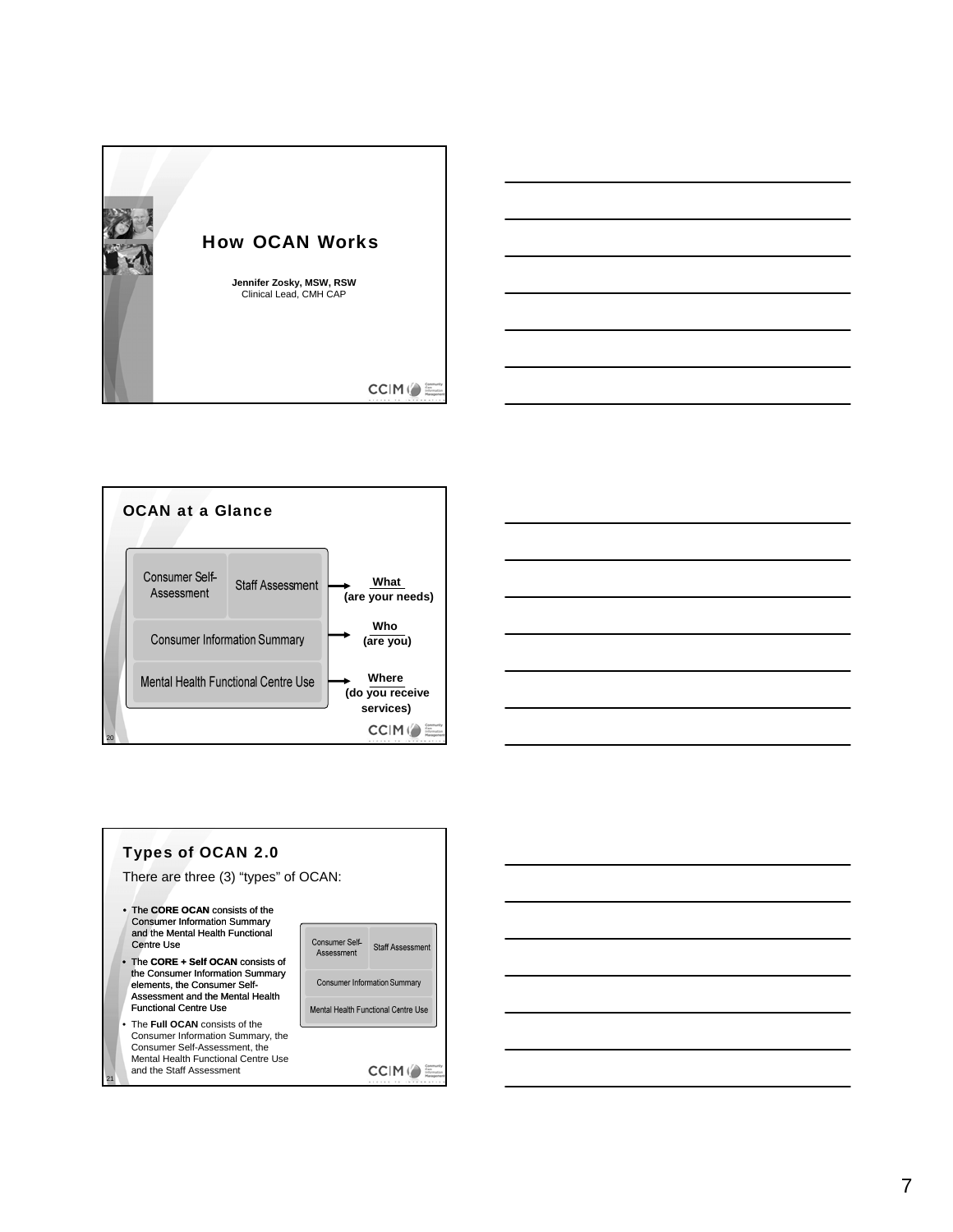







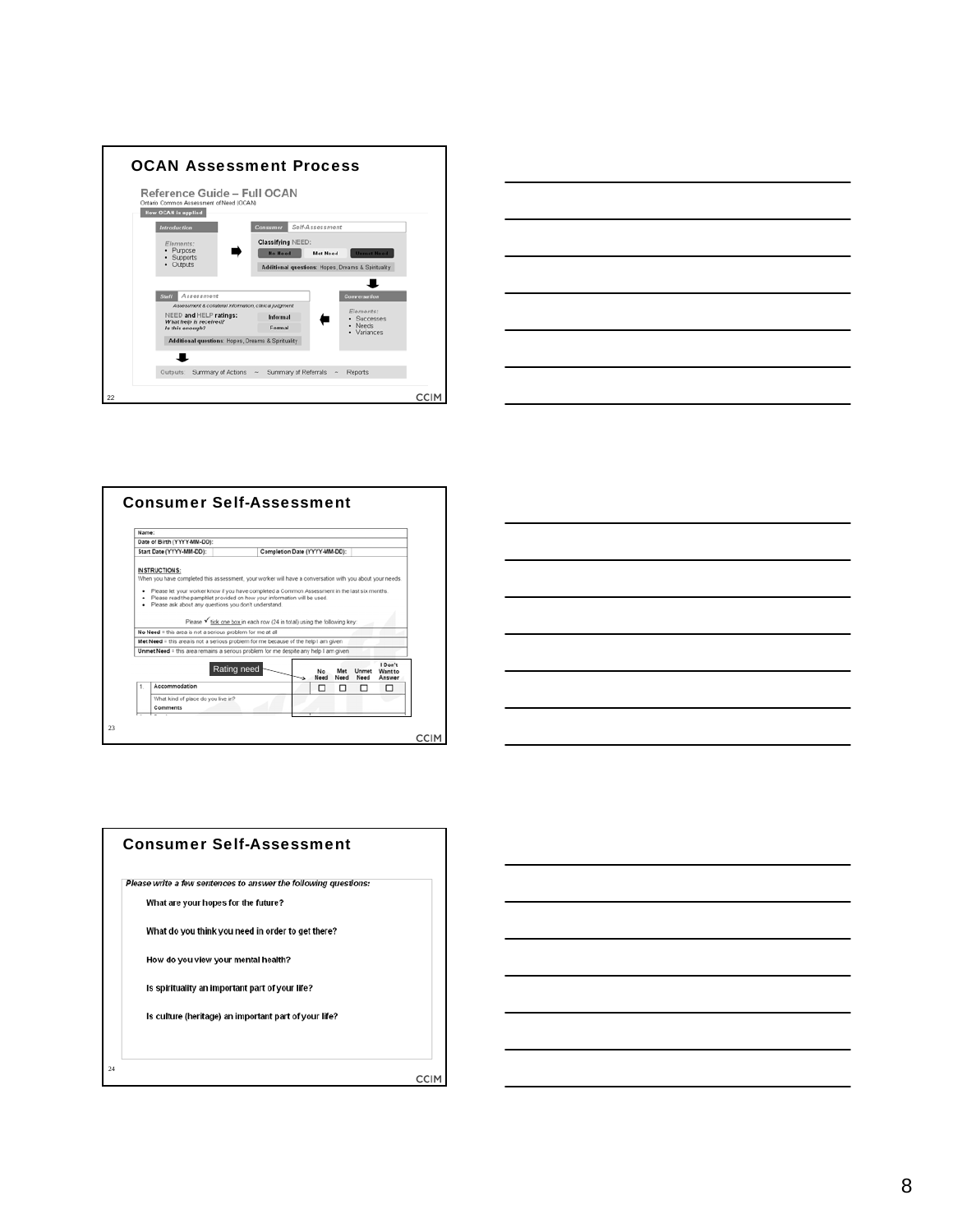







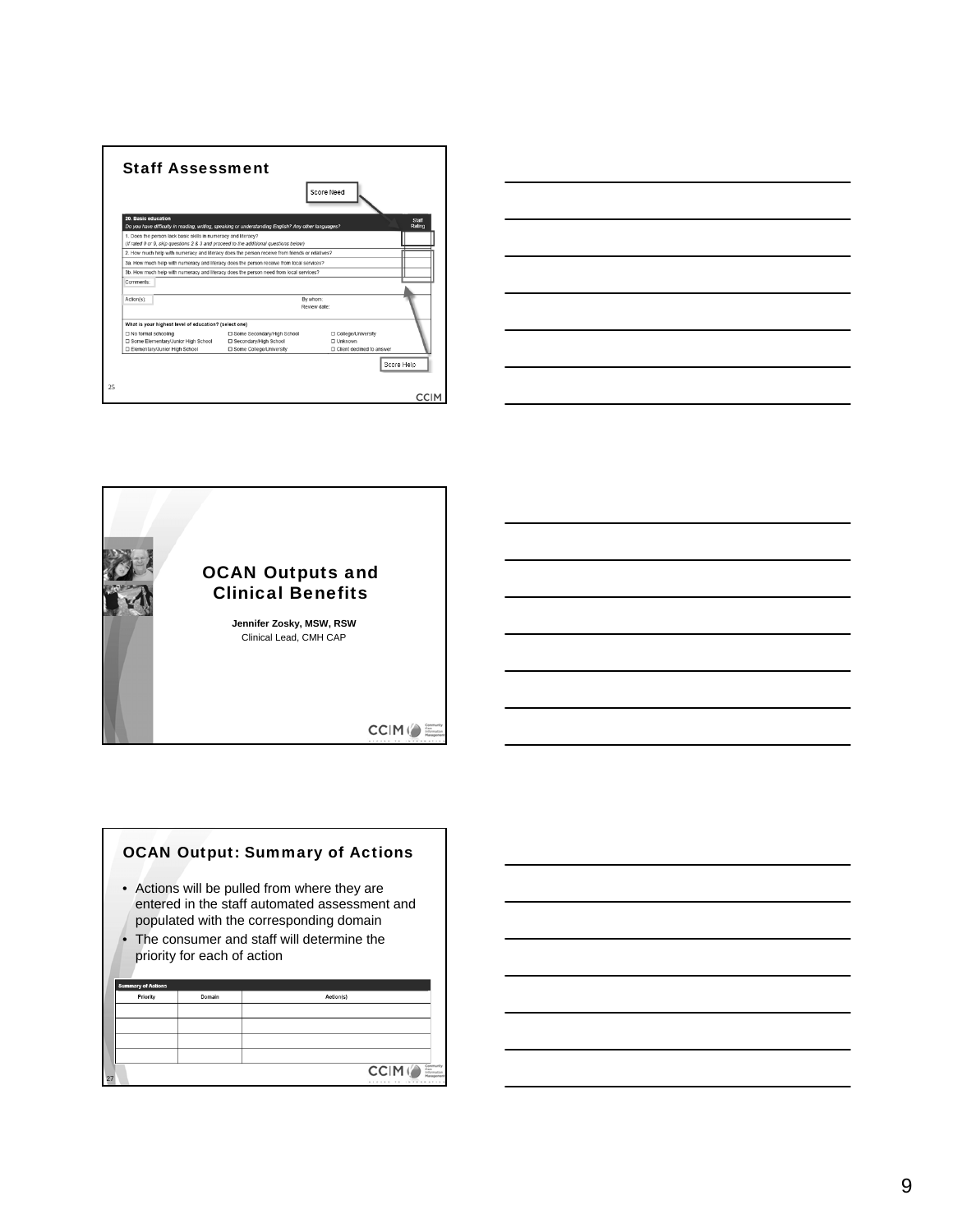







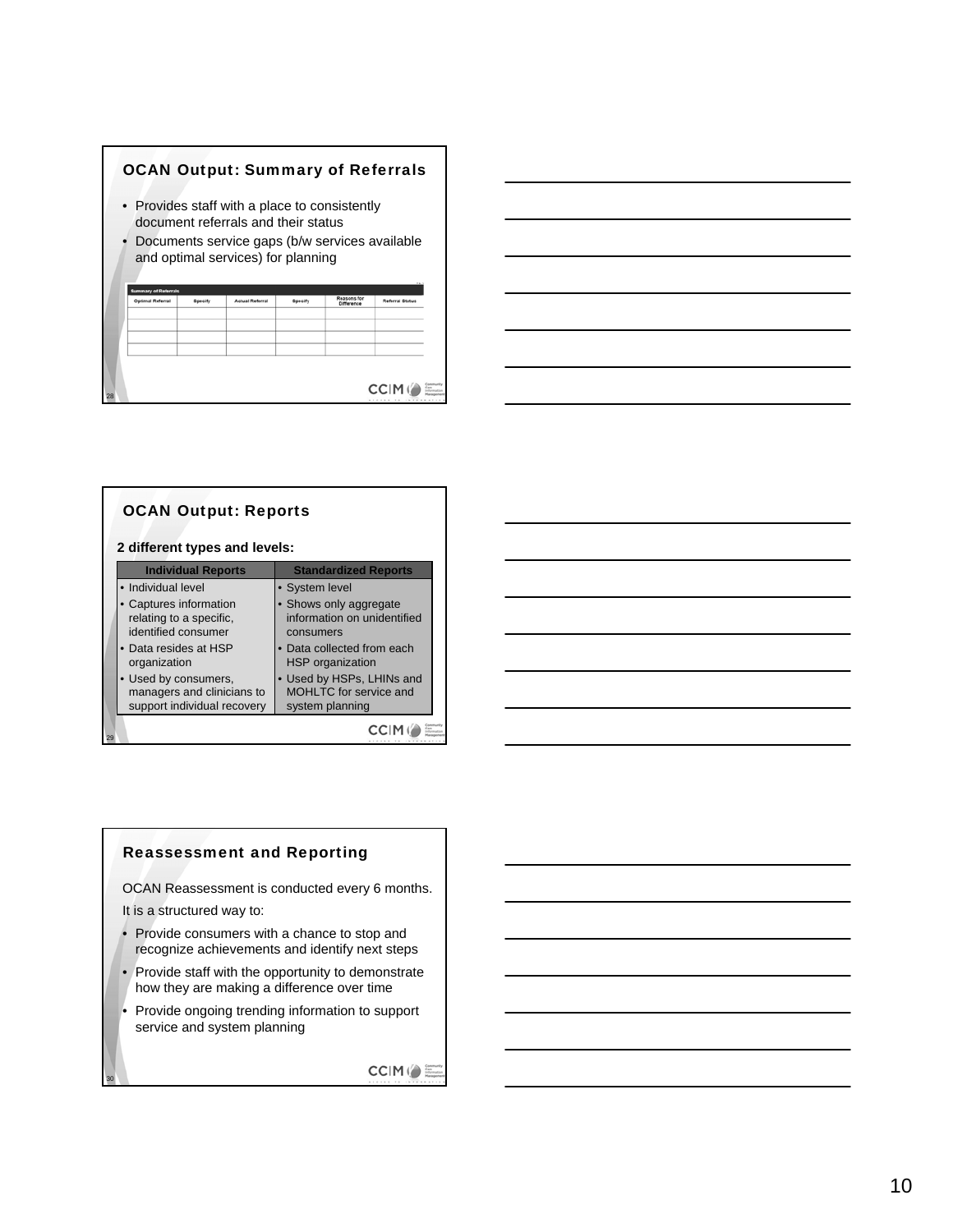



|    | <b>OCAN Output: Reports</b><br>2 different types and levels:                      |                                                                        |  |  |  |  |  |  |  |
|----|-----------------------------------------------------------------------------------|------------------------------------------------------------------------|--|--|--|--|--|--|--|
|    | <b>Individual Reports</b>                                                         | <b>Standardized Reports</b>                                            |  |  |  |  |  |  |  |
|    | • Individual level                                                                | • System level                                                         |  |  |  |  |  |  |  |
|    | Captures information<br>relating to a specific.<br>identified consumer            | • Shows only aggregate<br>information on unidentified<br>consumers     |  |  |  |  |  |  |  |
|    | • Data resides at HSP<br>organization                                             | • Data collected from each<br><b>HSP</b> organization                  |  |  |  |  |  |  |  |
|    | • Used by consumers,<br>managers and clinicians to<br>support individual recovery | • Used by HSPs, LHINs and<br>MOHLTC for service and<br>system planning |  |  |  |  |  |  |  |
| 29 |                                                                                   |                                                                        |  |  |  |  |  |  |  |

## Reassessment and Reporting

OCAN Reassessment is conducted every 6 months.

It is a structured way to:

30

- Provide consumers with a chance to stop and recognize achievements and identify next steps
- Provide staff with the opportunity to demonstrate how they are making a difference over time
- Provide ongoing trending information to support service and system planning

**CCIM()**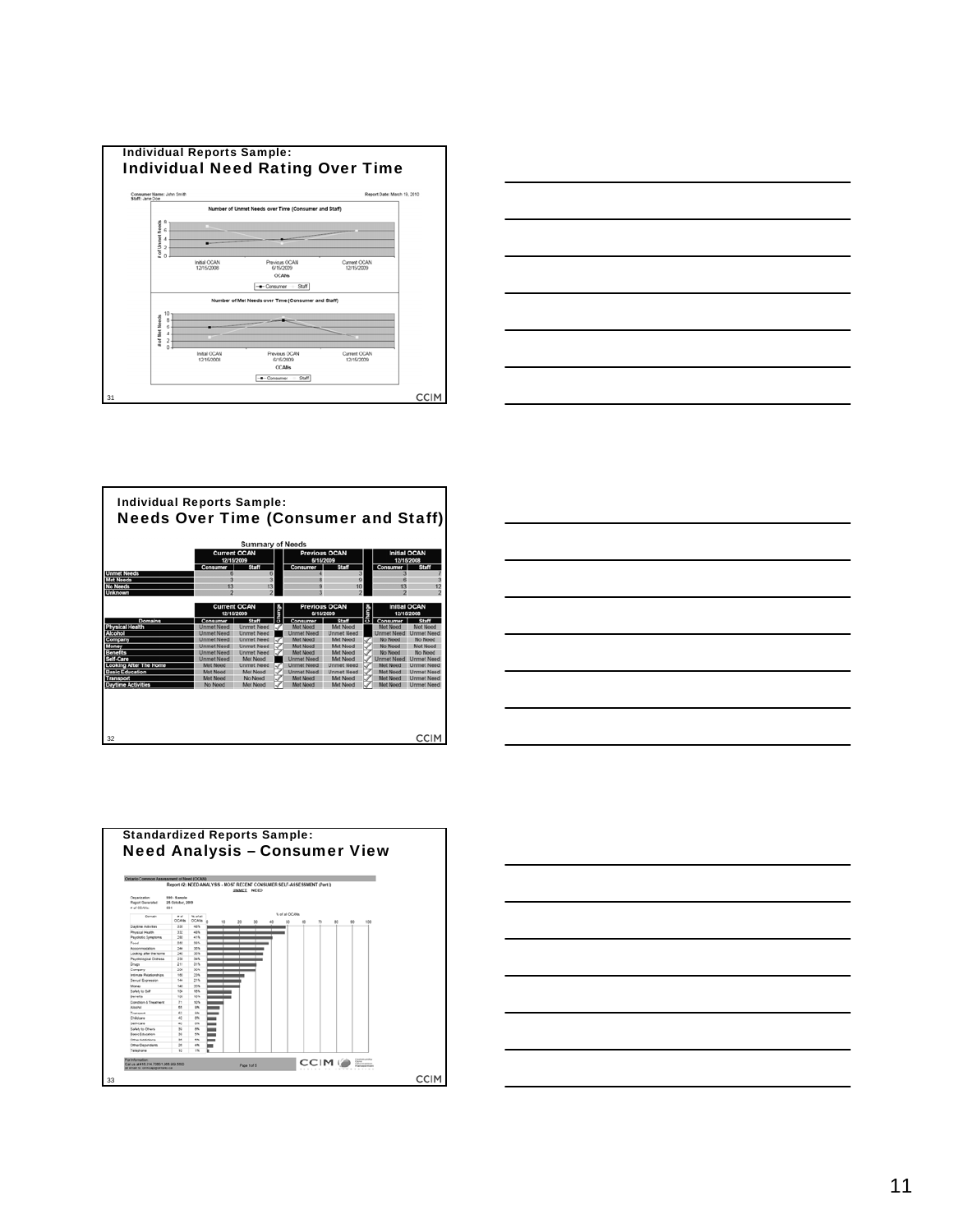









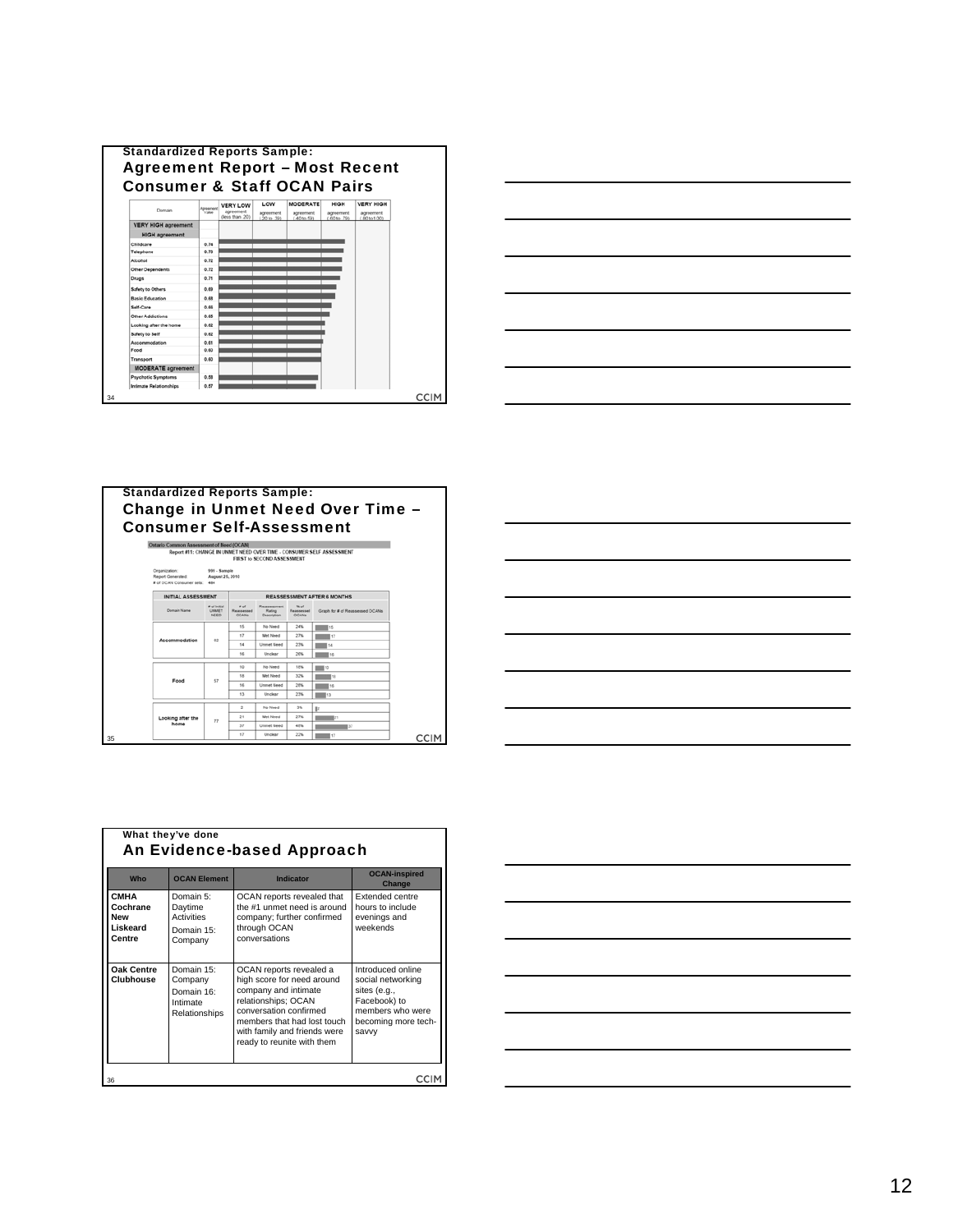



#### Standardized Reports Sample: Change in Unmet Need Over Time – Consumer Self-Assessment





| Who                                                                | <b>OCAN Element</b>                                              | Indicator                                                                                                                                                                                                                   | <b>OCAN-inspired</b><br>Change                                                                                             |
|--------------------------------------------------------------------|------------------------------------------------------------------|-----------------------------------------------------------------------------------------------------------------------------------------------------------------------------------------------------------------------------|----------------------------------------------------------------------------------------------------------------------------|
| <b>CMHA</b><br>Cochrane<br><b>New</b><br><b>Liskeard</b><br>Centre | Domain 5:<br>Daytime<br>Activities<br>Domain 15:<br>Company      | OCAN reports revealed that<br>the #1 unmet need is around<br>company; further confirmed<br>through OCAN<br>conversations                                                                                                    | Extended centre<br>hours to include<br>evenings and<br>weekends                                                            |
| Oak Centre<br><b>Clubhouse</b>                                     | Domain 15:<br>Company<br>Domain 16:<br>Intimate<br>Relationships | OCAN reports revealed a<br>high score for need around<br>company and intimate<br>relationships; OCAN<br>conversation confirmed<br>members that had lost touch<br>with family and friends were<br>ready to reunite with them | Introduced online<br>social networking<br>sites (e.g.,<br>Facebook) to<br>members who were<br>becoming more tech-<br>savvv |

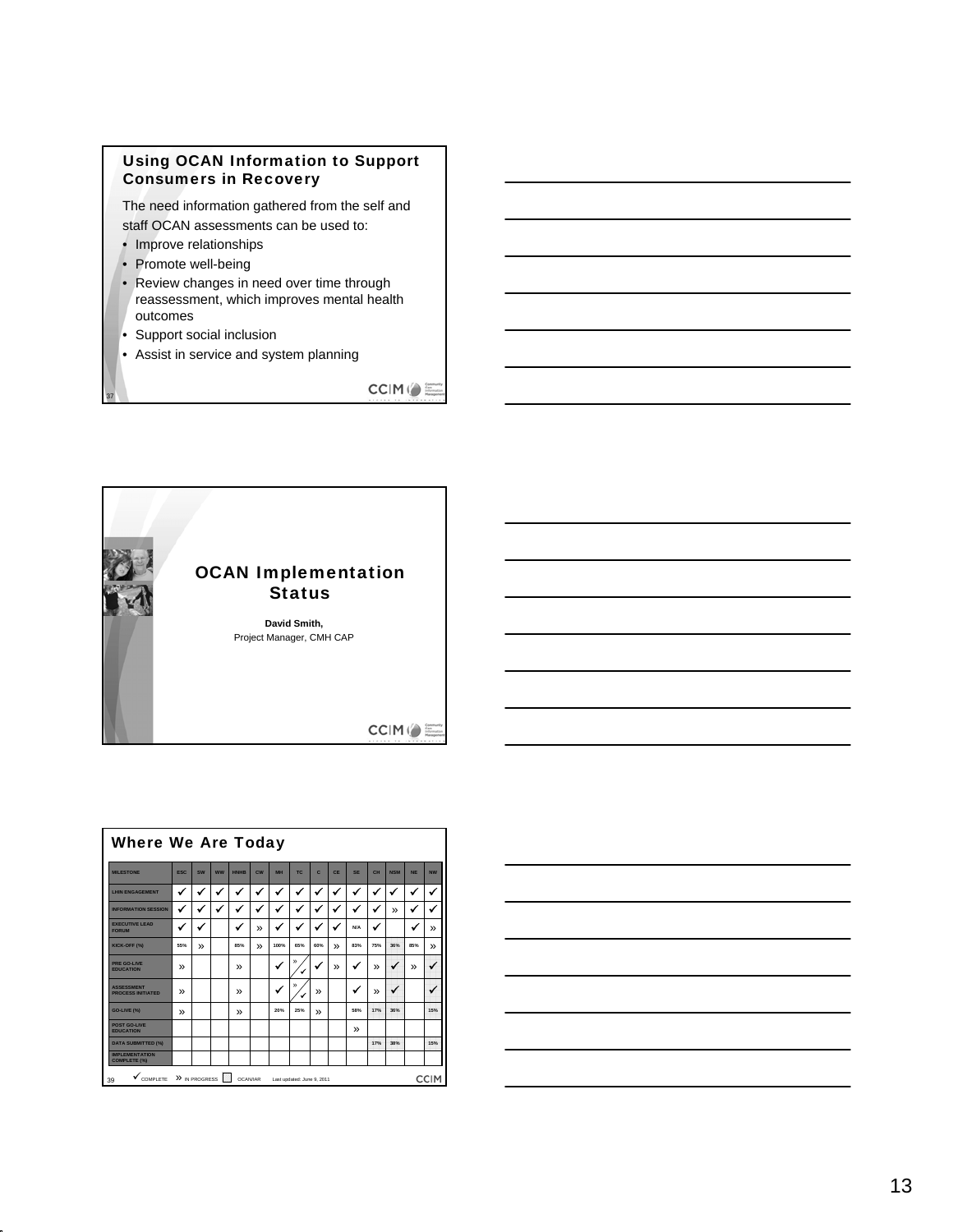# Using OCAN Information to Support Consumers in Recovery

The need information gathered from the self and staff OCAN assessments can be used to:

- Improve relationships
- Promote well-being
- Review changes in need over time through reassessment, which improves mental health outcomes
- Support social inclusion

37

• Assist in service and system planning

CCIM()



| <b>Where We Are Today</b>                                                                       |              |              |           |               |                |           |        |              |              |               |              |            |              |               |
|-------------------------------------------------------------------------------------------------|--------------|--------------|-----------|---------------|----------------|-----------|--------|--------------|--------------|---------------|--------------|------------|--------------|---------------|
| <b>MILESTONE</b>                                                                                | <b>FSC</b>   | SW           | <b>WW</b> | <b>HNHR</b>   | $c_{\text{W}}$ | <b>MH</b> | TC.    | c            | <b>CF</b>    | <b>SF</b>     | CH           | <b>NSM</b> | <b>NF</b>    | <b>NW</b>     |
| <b>LHIN ENGAGEMENT</b>                                                                          | $\checkmark$ | $\checkmark$ | ✔         | ✔             | $\checkmark$   | ✔         | ✔      | $\checkmark$ | ✓            | ✔             | ✔            | ✓          | ✓            | ✔             |
| <b>INFORMATION SESSION</b>                                                                      | ✔            | $\checkmark$ | v         | ✔             | ✔              | ✔         | ✔      |              | ✔            | ✔             | $\checkmark$ | »          | ✔            | ✔             |
| <b>EXECUTIVE LEAD</b><br><b>FORUM</b>                                                           |              | $\checkmark$ |           | $\checkmark$  | »              | ✔         | ✔      |              |              | <b>N/A</b>    | $\checkmark$ |            | $\checkmark$ | $\mathcal{V}$ |
| KICK-OFF (%)                                                                                    | 55%          | $\mathbf{v}$ |           | 85%           | »              | 100%      | 65%    | 60%          | $\mathbf{v}$ | 83%           | 75%          | 36%        | 85%          | »             |
| PRE GO-LIVE<br><b>EDUCATION</b>                                                                 | у,           |              |           | »             |                | v         | »      |              | »            | ✔             | »            | ✔          | »            |               |
| <b>ASSESSMENT</b><br><b>PROCESS INITIATED</b>                                                   | у,           |              |           | $\mathbf{v}$  |                |           | »<br>ں | <b>»</b>     |              |               | у,           | ✔          |              |               |
| GO-LIVE (%)                                                                                     | у,           |              |           | $\mathcal{P}$ |                | 20%       | 25%    | <b>»</b>     |              | 58%           | 17%          | 36%        |              | 15%           |
| POST GO-LIVE<br><b>FDUCATION</b>                                                                |              |              |           |               |                |           |        |              |              | $\mathcal{P}$ |              |            |              |               |
| <b>DATA SUBMITTED (%)</b>                                                                       |              |              |           |               |                |           |        |              |              |               | 17%          | 38%        |              | 15%           |
| <b>IMPLEMENTATION</b><br><b>COMPLETE (%)</b>                                                    |              |              |           |               |                |           |        |              |              |               |              |            |              |               |
| » IN PROGRESS<br><b>CCIM</b><br>COMPLETE<br><b>OCAN/IAR</b><br>39<br>Last updated: June 9, 2011 |              |              |           |               |                |           |        |              |              |               |              |            |              |               |

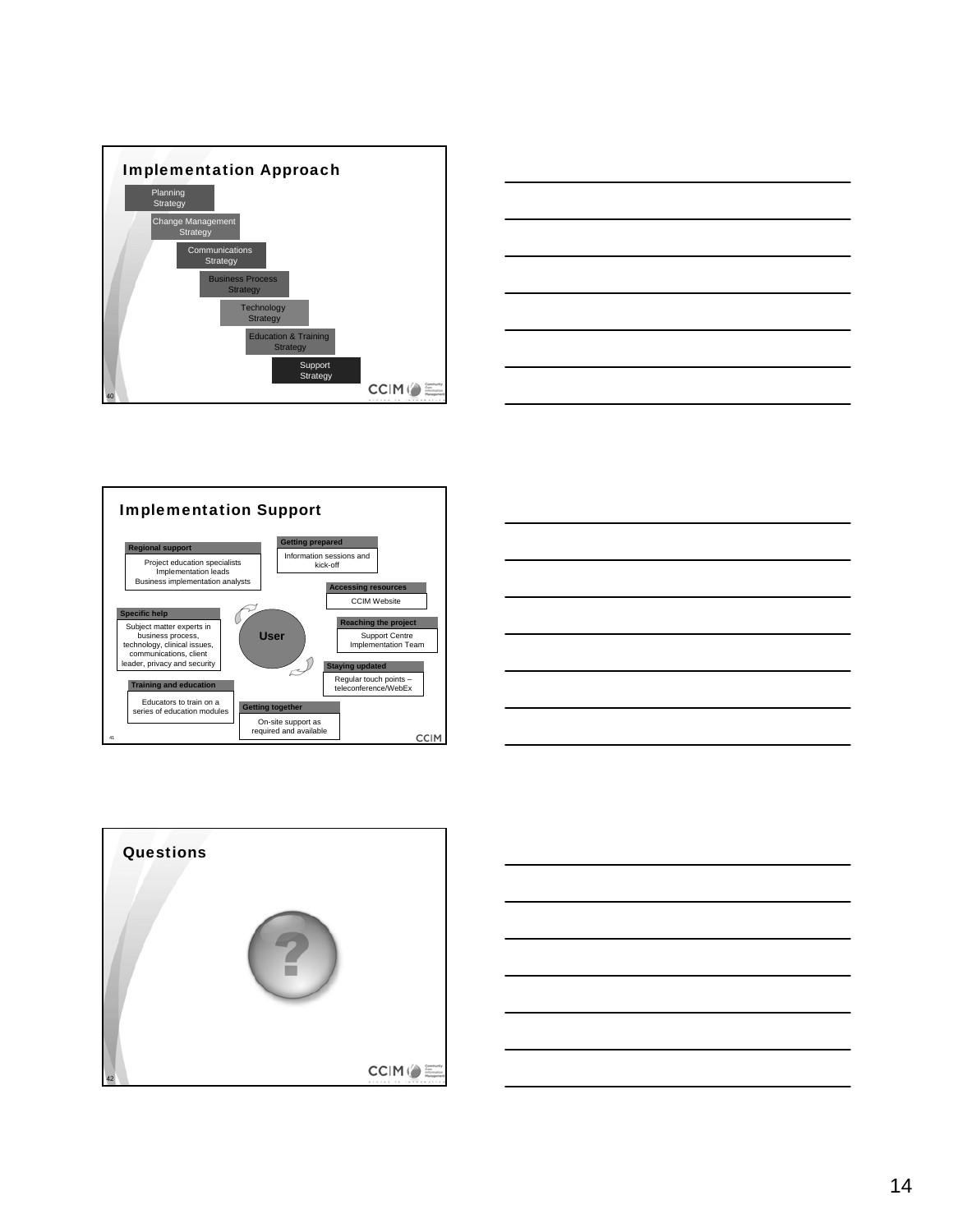